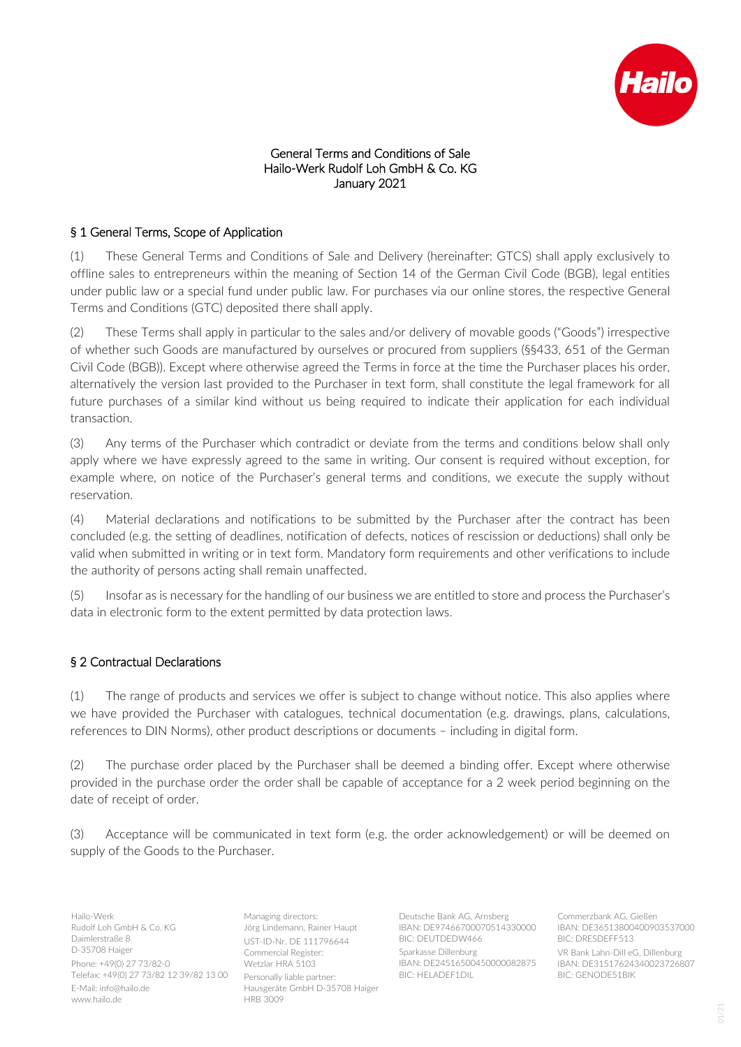

#### General Terms and Conditions of Sale Hailo-Werk Rudolf Loh GmbH & Co. KG January 2021

# § 1 General Terms, Scope of Application

(1) These General Terms and Conditions of Sale and Delivery (hereinafter: GTCS) shall apply exclusively to offline sales to entrepreneurs within the meaning of Section 14 of the German Civil Code (BGB), legal entities under public law or a special fund under public law. For purchases via our online stores, the respective General Terms and Conditions (GTC) deposited there shall apply.

(2) These Terms shall apply in particular to the sales and/or delivery of movable goods ("Goods") irrespective of whether such Goods are manufactured by ourselves or procured from suppliers (§§433, 651 of the German Civil Code (BGB)). Except where otherwise agreed the Terms in force at the time the Purchaser places his order, alternatively the version last provided to the Purchaser in text form, shall constitute the legal framework for all future purchases of a similar kind without us being required to indicate their application for each individual transaction.

(3) Any terms of the Purchaser which contradict or deviate from the terms and conditions below shall only apply where we have expressly agreed to the same in writing. Our consent is required without exception, for example where, on notice of the Purchaser's general terms and conditions, we execute the supply without reservation.

(4) Material declarations and notifications to be submitted by the Purchaser after the contract has been concluded (e.g. the setting of deadlines, notification of defects, notices of rescission or deductions) shall only be valid when submitted in writing or in text form. Mandatory form requirements and other verifications to include the authority of persons acting shall remain unaffected.

(5) Insofar as is necessary for the handling of our business we are entitled to store and process the Purchaser's data in electronic form to the extent permitted by data protection laws.

## § 2 Contractual Declarations

(1) The range of products and services we offer is subject to change without notice. This also applies where we have provided the Purchaser with catalogues, technical documentation (e.g. drawings, plans, calculations, references to DIN Norms), other product descriptions or documents – including in digital form.

(2) The purchase order placed by the Purchaser shall be deemed a binding offer. Except where otherwise provided in the purchase order the order shall be capable of acceptance for a 2 week period beginning on the date of receipt of order.

(3) Acceptance will be communicated in text form (e.g. the order acknowledgement) or will be deemed on supply of the Goods to the Purchaser.

Hailo-Werk Rudolf Loh GmbH & Co. KG Daimlerstraße 8 D-35708 Haiger Phone: +49(0) 27 73/82-0 Telefax: +49(0) 27 73/82 12 39/82 13 00 E-Mail: info@hailo.de www.hailo.de

Managing directors: Jörg Lindemann, Rainer Haupt UST-ID-Nr. DE 111796644 Commercial Register: Wetzlar HRA 5103 Personally liable partner: Hausgeräte GmbH D-35708 Haiger HRB 3009

Deutsche Bank AG, Arnsberg IBAN: DE97466700070514330000 BIC: DEUTDEDW466 Sparkasse Dillenburg IBAN: DE24516500450000082875 BIC: HELADEF1DIL

Commerzbank AG, Gießen IBAN: DE36513800400903537000 BIC: DRESDEFF513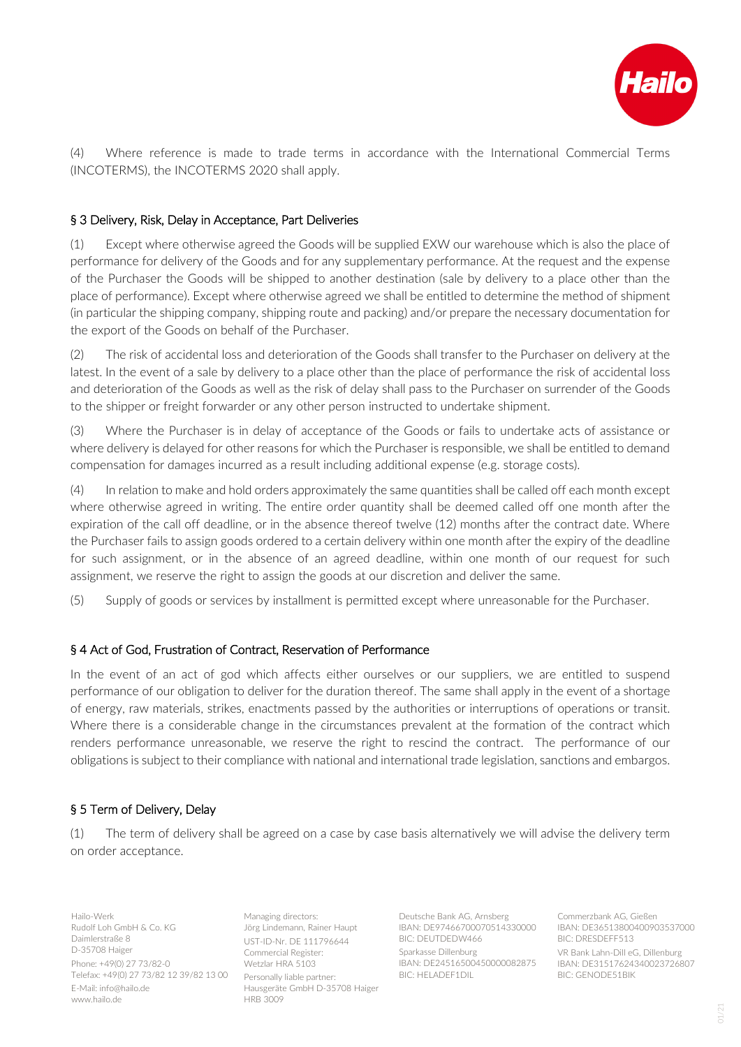

(4) Where reference is made to trade terms in accordance with the International Commercial Terms (INCOTERMS), the INCOTERMS 2020 shall apply.

## § 3 Delivery, Risk, Delay in Acceptance, Part Deliveries

(1) Except where otherwise agreed the Goods will be supplied EXW our warehouse which is also the place of performance for delivery of the Goods and for any supplementary performance. At the request and the expense of the Purchaser the Goods will be shipped to another destination (sale by delivery to a place other than the place of performance). Except where otherwise agreed we shall be entitled to determine the method of shipment (in particular the shipping company, shipping route and packing) and/or prepare the necessary documentation for the export of the Goods on behalf of the Purchaser.

(2) The risk of accidental loss and deterioration of the Goods shall transfer to the Purchaser on delivery at the latest. In the event of a sale by delivery to a place other than the place of performance the risk of accidental loss and deterioration of the Goods as well as the risk of delay shall pass to the Purchaser on surrender of the Goods to the shipper or freight forwarder or any other person instructed to undertake shipment.

(3) Where the Purchaser is in delay of acceptance of the Goods or fails to undertake acts of assistance or where delivery is delayed for other reasons for which the Purchaser is responsible, we shall be entitled to demand compensation for damages incurred as a result including additional expense (e.g. storage costs).

(4) In relation to make and hold orders approximately the same quantities shall be called off each month except where otherwise agreed in writing. The entire order quantity shall be deemed called off one month after the expiration of the call off deadline, or in the absence thereof twelve (12) months after the contract date. Where the Purchaser fails to assign goods ordered to a certain delivery within one month after the expiry of the deadline for such assignment, or in the absence of an agreed deadline, within one month of our request for such assignment, we reserve the right to assign the goods at our discretion and deliver the same.

(5) Supply of goods or services by installment is permitted except where unreasonable for the Purchaser.

#### § 4 Act of God, Frustration of Contract, Reservation of Performance

In the event of an act of god which affects either ourselves or our suppliers, we are entitled to suspend performance of our obligation to deliver for the duration thereof. The same shall apply in the event of a shortage of energy, raw materials, strikes, enactments passed by the authorities or interruptions of operations or transit. Where there is a considerable change in the circumstances prevalent at the formation of the contract which renders performance unreasonable, we reserve the right to rescind the contract. The performance of our obligations is subject to their compliance with national and international trade legislation, sanctions and embargos.

## § 5 Term of Delivery, Delay

(1) The term of delivery shall be agreed on a case by case basis alternatively we will advise the delivery term on order acceptance.

Hailo-Werk Rudolf Loh GmbH & Co. KG Daimlerstraße 8 D-35708 Haiger Phone: +49(0) 27 73/82-0 Telefax: +49(0) 27 73/82 12 39/82 13 00 E-Mail: info@hailo.de www.hailo.de

Managing directors: Jörg Lindemann, Rainer Haupt UST-ID-Nr. DE 111796644 Commercial Register: Wetzlar HRA 5103 Personally liable partner: Hausgeräte GmbH D-35708 Haiger HRB 3009

Deutsche Bank AG, Arnsberg IBAN: DE97466700070514330000 BIC: DEUTDEDW466 Sparkasse Dillenburg IBAN: DE24516500450000082875 BIC: HELADEF1DIL

Commerzbank AG, Gießen IBAN: DE36513800400903537000 BIC: DRESDEFF513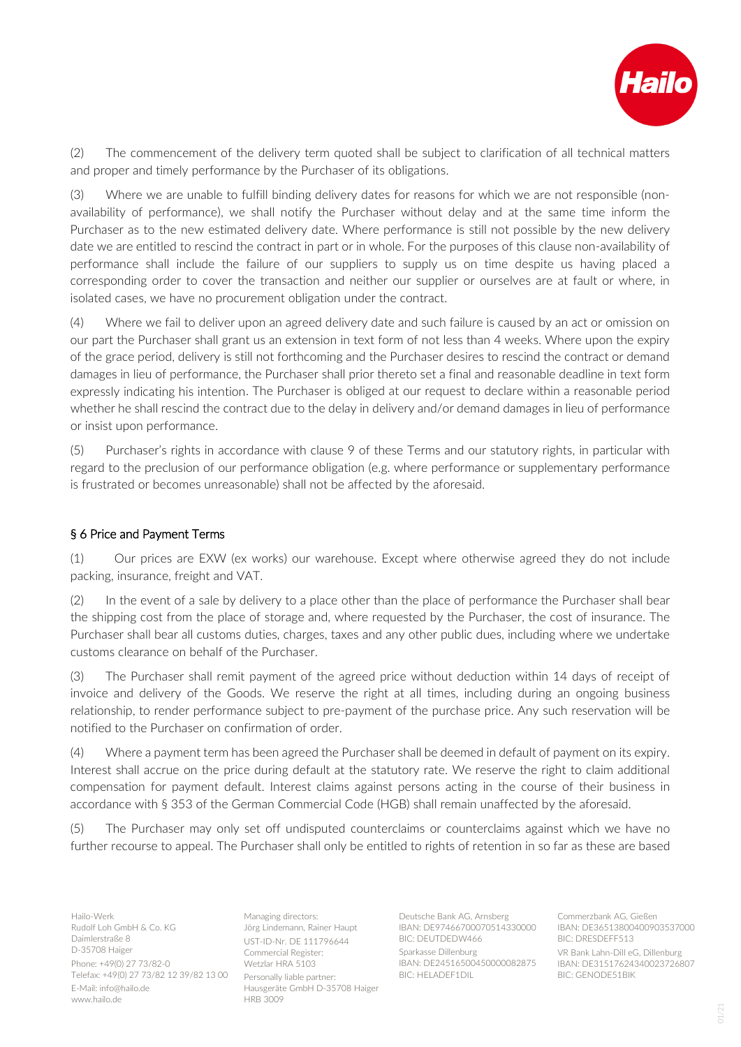

(2) The commencement of the delivery term quoted shall be subject to clarification of all technical matters and proper and timely performance by the Purchaser of its obligations.

(3) Where we are unable to fulfill binding delivery dates for reasons for which we are not responsible (nonavailability of performance), we shall notify the Purchaser without delay and at the same time inform the Purchaser as to the new estimated delivery date. Where performance is still not possible by the new delivery date we are entitled to rescind the contract in part or in whole. For the purposes of this clause non-availability of performance shall include the failure of our suppliers to supply us on time despite us having placed a corresponding order to cover the transaction and neither our supplier or ourselves are at fault or where, in isolated cases, we have no procurement obligation under the contract.

(4) Where we fail to deliver upon an agreed delivery date and such failure is caused by an act or omission on our part the Purchaser shall grant us an extension in text form of not less than 4 weeks. Where upon the expiry of the grace period, delivery is still not forthcoming and the Purchaser desires to rescind the contract or demand damages in lieu of performance, the Purchaser shall prior thereto set a final and reasonable deadline in text form expressly indicating his intention. The Purchaser is obliged at our request to declare within a reasonable period whether he shall rescind the contract due to the delay in delivery and/or demand damages in lieu of performance or insist upon performance.

(5) Purchaser's rights in accordance with clause 9 of these Terms and our statutory rights, in particular with regard to the preclusion of our performance obligation (e.g. where performance or supplementary performance is frustrated or becomes unreasonable) shall not be affected by the aforesaid.

## § 6 Price and Payment Terms

(1) Our prices are EXW (ex works) our warehouse. Except where otherwise agreed they do not include packing, insurance, freight and VAT.

(2) In the event of a sale by delivery to a place other than the place of performance the Purchaser shall bear the shipping cost from the place of storage and, where requested by the Purchaser, the cost of insurance. The Purchaser shall bear all customs duties, charges, taxes and any other public dues, including where we undertake customs clearance on behalf of the Purchaser.

(3) The Purchaser shall remit payment of the agreed price without deduction within 14 days of receipt of invoice and delivery of the Goods. We reserve the right at all times, including during an ongoing business relationship, to render performance subject to pre-payment of the purchase price. Any such reservation will be notified to the Purchaser on confirmation of order.

(4) Where a payment term has been agreed the Purchaser shall be deemed in default of payment on its expiry. Interest shall accrue on the price during default at the statutory rate. We reserve the right to claim additional compensation for payment default. Interest claims against persons acting in the course of their business in accordance with § 353 of the German Commercial Code (HGB) shall remain unaffected by the aforesaid.

(5) The Purchaser may only set off undisputed counterclaims or counterclaims against which we have no further recourse to appeal. The Purchaser shall only be entitled to rights of retention in so far as these are based

Hailo-Werk Rudolf Loh GmbH & Co. KG Daimlerstraße 8 D-35708 Haiger Phone: +49(0) 27 73/82-0 Telefax: +49(0) 27 73/82 12 39/82 13 00 E-Mail: info@hailo.de www.hailo.de

Managing directors: Jörg Lindemann, Rainer Haupt UST-ID-Nr. DE 111796644 Commercial Register: Wetzlar HRA 5103 Personally liable partner: Hausgeräte GmbH D-35708 Haiger HRB 3009

Deutsche Bank AG, Arnsberg IBAN: DE97466700070514330000 BIC: DEUTDEDW466 Sparkasse Dillenburg IBAN: DE24516500450000082875 BIC: HELADEF1DIL

Commerzbank AG, Gießen IBAN: DE36513800400903537000 BIC: DRESDEFF513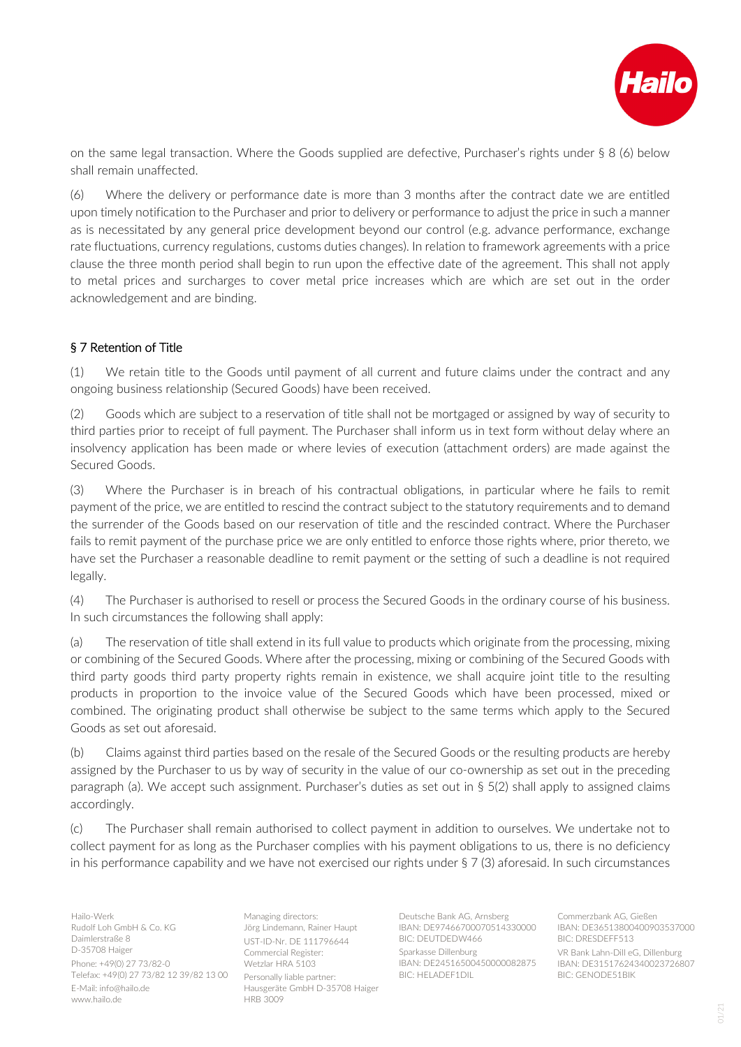

on the same legal transaction. Where the Goods supplied are defective, Purchaser's rights under § 8 (6) below shall remain unaffected.

(6) Where the delivery or performance date is more than 3 months after the contract date we are entitled upon timely notification to the Purchaser and prior to delivery or performance to adjust the price in such a manner as is necessitated by any general price development beyond our control (e.g. advance performance, exchange rate fluctuations, currency regulations, customs duties changes). In relation to framework agreements with a price clause the three month period shall begin to run upon the effective date of the agreement. This shall not apply to metal prices and surcharges to cover metal price increases which are which are set out in the order acknowledgement and are binding.

## § 7 Retention of Title

(1) We retain title to the Goods until payment of all current and future claims under the contract and any ongoing business relationship (Secured Goods) have been received.

(2) Goods which are subject to a reservation of title shall not be mortgaged or assigned by way of security to third parties prior to receipt of full payment. The Purchaser shall inform us in text form without delay where an insolvency application has been made or where levies of execution (attachment orders) are made against the Secured Goods.

(3) Where the Purchaser is in breach of his contractual obligations, in particular where he fails to remit payment of the price, we are entitled to rescind the contract subject to the statutory requirements and to demand the surrender of the Goods based on our reservation of title and the rescinded contract. Where the Purchaser fails to remit payment of the purchase price we are only entitled to enforce those rights where, prior thereto, we have set the Purchaser a reasonable deadline to remit payment or the setting of such a deadline is not required legally.

(4) The Purchaser is authorised to resell or process the Secured Goods in the ordinary course of his business. In such circumstances the following shall apply:

(a) The reservation of title shall extend in its full value to products which originate from the processing, mixing or combining of the Secured Goods. Where after the processing, mixing or combining of the Secured Goods with third party goods third party property rights remain in existence, we shall acquire joint title to the resulting products in proportion to the invoice value of the Secured Goods which have been processed, mixed or combined. The originating product shall otherwise be subject to the same terms which apply to the Secured Goods as set out aforesaid.

(b) Claims against third parties based on the resale of the Secured Goods or the resulting products are hereby assigned by the Purchaser to us by way of security in the value of our co-ownership as set out in the preceding paragraph (a). We accept such assignment. Purchaser's duties as set out in § 5(2) shall apply to assigned claims accordingly.

(c) The Purchaser shall remain authorised to collect payment in addition to ourselves. We undertake not to collect payment for as long as the Purchaser complies with his payment obligations to us, there is no deficiency in his performance capability and we have not exercised our rights under § 7 (3) aforesaid. In such circumstances

Hailo-Werk Rudolf Loh GmbH & Co. KG Daimlerstraße 8 D-35708 Haiger Phone: +49(0) 27 73/82-0 Telefax: +49(0) 27 73/82 12 39/82 13 00 E-Mail: info@hailo.de www.hailo.de

Managing directors: Jörg Lindemann, Rainer Haupt UST-ID-Nr. DE 111796644 Commercial Register: Wetzlar HRA 5103 Personally liable partner: Hausgeräte GmbH D-35708 Haiger HRB 3009

Deutsche Bank AG, Arnsberg IBAN: DE97466700070514330000 BIC: DEUTDEDW466 Sparkasse Dillenburg IBAN: DE24516500450000082875 BIC: HELADEF1DIL

Commerzbank AG, Gießen IBAN: DE36513800400903537000 BIC: DRESDEFF513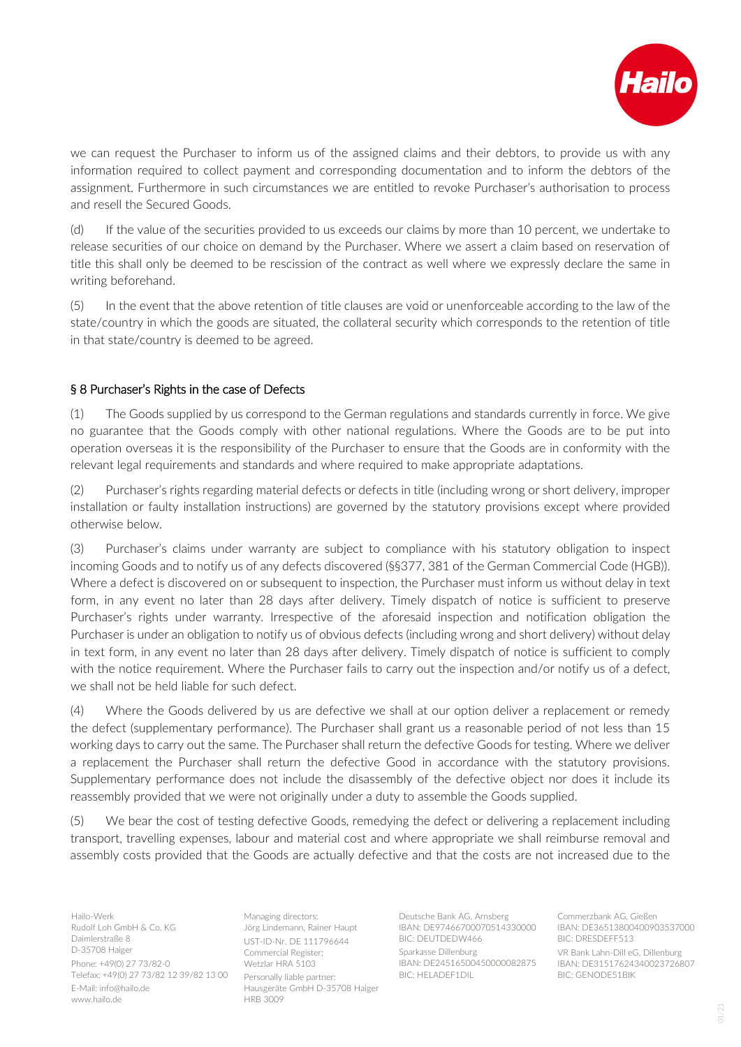

we can request the Purchaser to inform us of the assigned claims and their debtors, to provide us with any information required to collect payment and corresponding documentation and to inform the debtors of the assignment. Furthermore in such circumstances we are entitled to revoke Purchaser's authorisation to process and resell the Secured Goods.

(d) If the value of the securities provided to us exceeds our claims by more than 10 percent, we undertake to release securities of our choice on demand by the Purchaser. Where we assert a claim based on reservation of title this shall only be deemed to be rescission of the contract as well where we expressly declare the same in writing beforehand.

(5) In the event that the above retention of title clauses are void or unenforceable according to the law of the state/country in which the goods are situated, the collateral security which corresponds to the retention of title in that state/country is deemed to be agreed.

## § 8 Purchaser's Rights in the case of Defects

(1) The Goods supplied by us correspond to the German regulations and standards currently in force. We give no guarantee that the Goods comply with other national regulations. Where the Goods are to be put into operation overseas it is the responsibility of the Purchaser to ensure that the Goods are in conformity with the relevant legal requirements and standards and where required to make appropriate adaptations.

(2) Purchaser's rights regarding material defects or defects in title (including wrong or short delivery, improper installation or faulty installation instructions) are governed by the statutory provisions except where provided otherwise below.

(3) Purchaser's claims under warranty are subject to compliance with his statutory obligation to inspect incoming Goods and to notify us of any defects discovered (§§377, 381 of the German Commercial Code (HGB)). Where a defect is discovered on or subsequent to inspection, the Purchaser must inform us without delay in text form, in any event no later than 28 days after delivery. Timely dispatch of notice is sufficient to preserve Purchaser's rights under warranty. Irrespective of the aforesaid inspection and notification obligation the Purchaser is under an obligation to notify us of obvious defects (including wrong and short delivery) without delay in text form, in any event no later than 28 days after delivery. Timely dispatch of notice is sufficient to comply with the notice requirement. Where the Purchaser fails to carry out the inspection and/or notify us of a defect, we shall not be held liable for such defect.

(4) Where the Goods delivered by us are defective we shall at our option deliver a replacement or remedy the defect (supplementary performance). The Purchaser shall grant us a reasonable period of not less than 15 working days to carry out the same. The Purchaser shall return the defective Goods for testing. Where we deliver a replacement the Purchaser shall return the defective Good in accordance with the statutory provisions. Supplementary performance does not include the disassembly of the defective object nor does it include its reassembly provided that we were not originally under a duty to assemble the Goods supplied.

(5) We bear the cost of testing defective Goods, remedying the defect or delivering a replacement including transport, travelling expenses, labour and material cost and where appropriate we shall reimburse removal and assembly costs provided that the Goods are actually defective and that the costs are not increased due to the

Hailo-Werk Rudolf Loh GmbH & Co. KG Daimlerstraße 8 D-35708 Haiger Phone: +49(0) 27 73/82-0 Telefax: +49(0) 27 73/82 12 39/82 13 00 E-Mail: info@hailo.de www.hailo.de

Managing directors: Jörg Lindemann, Rainer Haupt UST-ID-Nr. DE 111796644 Commercial Register: Wetzlar HRA 5103 Personally liable partner: Hausgeräte GmbH D-35708 Haiger HRB 3009

Deutsche Bank AG, Arnsberg IBAN: DE97466700070514330000 BIC: DEUTDEDW466 Sparkasse Dillenburg IBAN: DE24516500450000082875 BIC: HELADEF1DIL

Commerzbank AG, Gießen IBAN: DE36513800400903537000 BIC: DRESDEFF513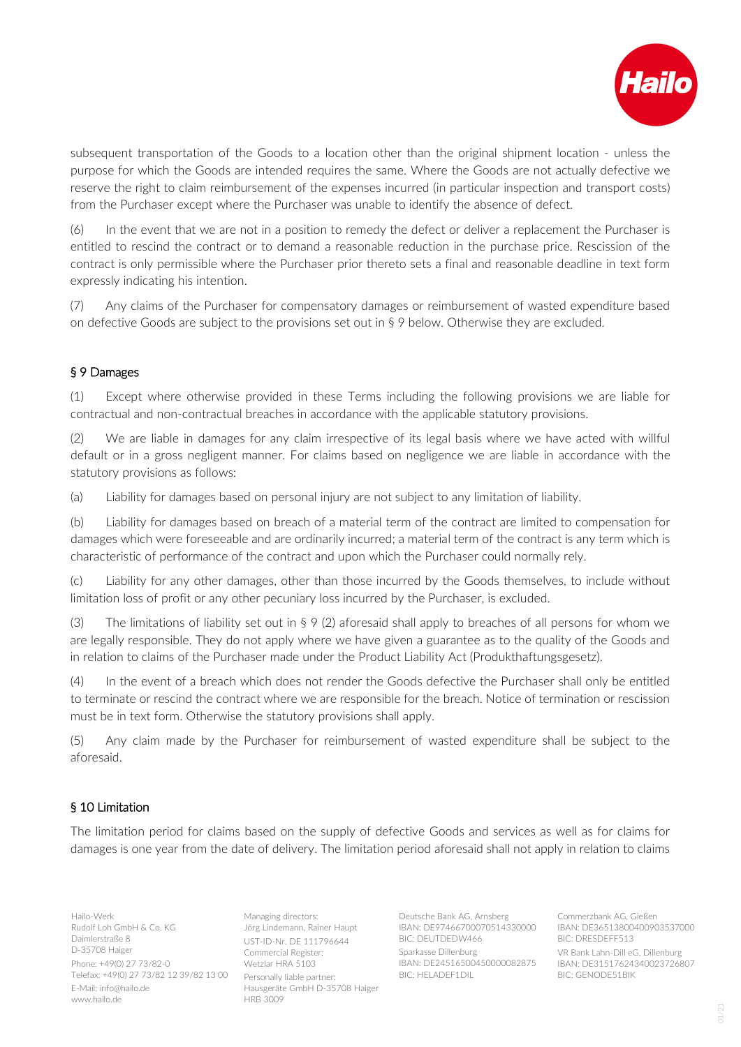

subsequent transportation of the Goods to a location other than the original shipment location - unless the purpose for which the Goods are intended requires the same. Where the Goods are not actually defective we reserve the right to claim reimbursement of the expenses incurred (in particular inspection and transport costs) from the Purchaser except where the Purchaser was unable to identify the absence of defect.

(6) In the event that we are not in a position to remedy the defect or deliver a replacement the Purchaser is entitled to rescind the contract or to demand a reasonable reduction in the purchase price. Rescission of the contract is only permissible where the Purchaser prior thereto sets a final and reasonable deadline in text form expressly indicating his intention.

(7) Any claims of the Purchaser for compensatory damages or reimbursement of wasted expenditure based on defective Goods are subject to the provisions set out in § 9 below. Otherwise they are excluded.

#### § 9 Damages

(1) Except where otherwise provided in these Terms including the following provisions we are liable for contractual and non-contractual breaches in accordance with the applicable statutory provisions.

(2) We are liable in damages for any claim irrespective of its legal basis where we have acted with willful default or in a gross negligent manner. For claims based on negligence we are liable in accordance with the statutory provisions as follows:

(a) Liability for damages based on personal injury are not subject to any limitation of liability.

(b) Liability for damages based on breach of a material term of the contract are limited to compensation for damages which were foreseeable and are ordinarily incurred; a material term of the contract is any term which is characteristic of performance of the contract and upon which the Purchaser could normally rely.

(c) Liability for any other damages, other than those incurred by the Goods themselves, to include without limitation loss of profit or any other pecuniary loss incurred by the Purchaser, is excluded.

(3) The limitations of liability set out in  $\S 9$  (2) aforesaid shall apply to breaches of all persons for whom we are legally responsible. They do not apply where we have given a guarantee as to the quality of the Goods and in relation to claims of the Purchaser made under the Product Liability Act (Produkthaftungsgesetz).

(4) In the event of a breach which does not render the Goods defective the Purchaser shall only be entitled to terminate or rescind the contract where we are responsible for the breach. Notice of termination or rescission must be in text form. Otherwise the statutory provisions shall apply.

(5) Any claim made by the Purchaser for reimbursement of wasted expenditure shall be subject to the aforesaid.

## § 10 Limitation

The limitation period for claims based on the supply of defective Goods and services as well as for claims for damages is one year from the date of delivery. The limitation period aforesaid shall not apply in relation to claims

Hailo-Werk Rudolf Loh GmbH & Co. KG Daimlerstraße 8 D-35708 Haiger Phone: +49(0) 27 73/82-0 Telefax: +49(0) 27 73/82 12 39/82 13 00 E-Mail: info@hailo.de www.hailo.de

Managing directors: Jörg Lindemann, Rainer Haupt UST-ID-Nr. DE 111796644 Commercial Register: Wetzlar HRA 5103 Personally liable partner: Hausgeräte GmbH D-35708 Haiger HRB 3009

Deutsche Bank AG, Arnsberg IBAN: DE97466700070514330000 BIC: DEUTDEDW466 Sparkasse Dillenburg

IBAN: DE24516500450000082875 BIC: HELADEF1DIL

Commerzbank AG, Gießen IBAN: DE36513800400903537000 BIC: DRESDEFF513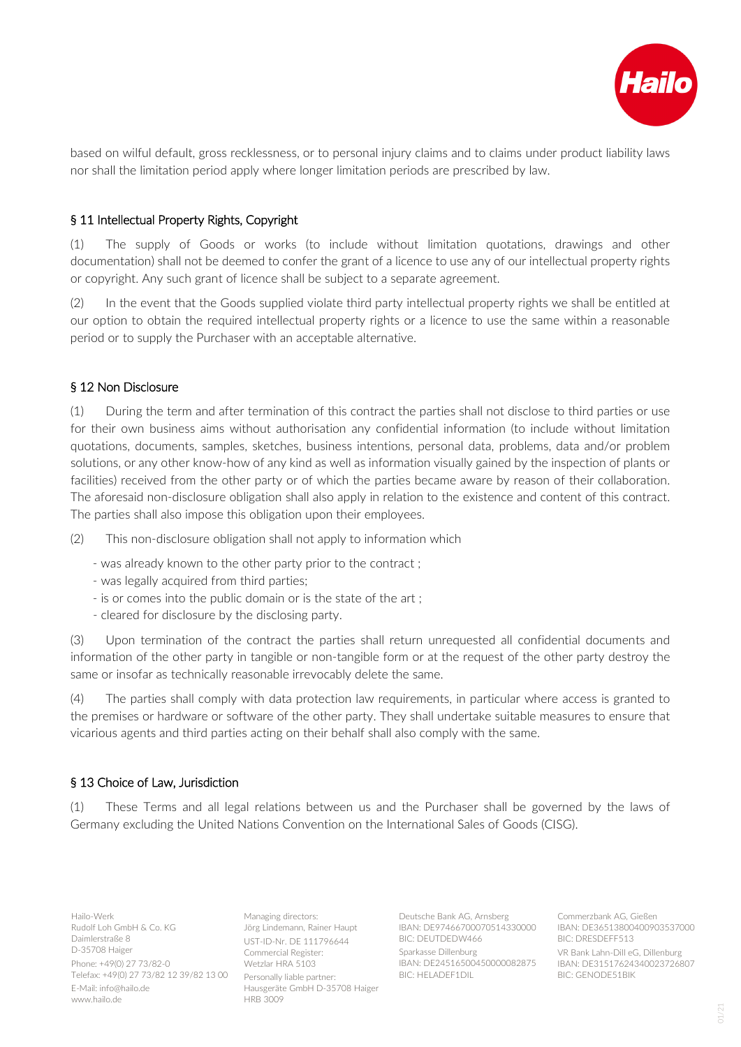

based on wilful default, gross recklessness, or to personal injury claims and to claims under product liability laws nor shall the limitation period apply where longer limitation periods are prescribed by law.

#### § 11 Intellectual Property Rights, Copyright

(1) The supply of Goods or works (to include without limitation quotations, drawings and other documentation) shall not be deemed to confer the grant of a licence to use any of our intellectual property rights or copyright. Any such grant of licence shall be subject to a separate agreement.

(2) In the event that the Goods supplied violate third party intellectual property rights we shall be entitled at our option to obtain the required intellectual property rights or a licence to use the same within a reasonable period or to supply the Purchaser with an acceptable alternative.

#### § 12 Non Disclosure

(1) During the term and after termination of this contract the parties shall not disclose to third parties or use for their own business aims without authorisation any confidential information (to include without limitation quotations, documents, samples, sketches, business intentions, personal data, problems, data and/or problem solutions, or any other know-how of any kind as well as information visually gained by the inspection of plants or facilities) received from the other party or of which the parties became aware by reason of their collaboration. The aforesaid non-disclosure obligation shall also apply in relation to the existence and content of this contract. The parties shall also impose this obligation upon their employees.

(2) This non-disclosure obligation shall not apply to information which

- was already known to the other party prior to the contract ;
- was legally acquired from third parties;
- is or comes into the public domain or is the state of the art ;
- cleared for disclosure by the disclosing party.

(3) Upon termination of the contract the parties shall return unrequested all confidential documents and information of the other party in tangible or non-tangible form or at the request of the other party destroy the same or insofar as technically reasonable irrevocably delete the same.

(4) The parties shall comply with data protection law requirements, in particular where access is granted to the premises or hardware or software of the other party. They shall undertake suitable measures to ensure that vicarious agents and third parties acting on their behalf shall also comply with the same.

#### § 13 Choice of Law, Jurisdiction

(1) These Terms and all legal relations between us and the Purchaser shall be governed by the laws of Germany excluding the United Nations Convention on the International Sales of Goods (CISG).

Hailo-Werk Rudolf Loh GmbH & Co. KG Daimlerstraße 8 D-35708 Haiger Phone: +49(0) 27 73/82-0 Telefax: +49(0) 27 73/82 12 39/82 13 00 E-Mail: info@hailo.de www.hailo.de

Managing directors: Jörg Lindemann, Rainer Haupt UST-ID-Nr. DE 111796644 Commercial Register: Wetzlar HRA 5103 Personally liable partner: Hausgeräte GmbH D-35708 Haiger HRB 3009

Deutsche Bank AG, Arnsberg IBAN: DE97466700070514330000 BIC: DEUTDEDW466 Sparkasse Dillenburg

IBAN: DE24516500450000082875 BIC: HELADEF1DIL

Commerzbank AG, Gießen IBAN: DE36513800400903537000 BIC: DRESDEFF513